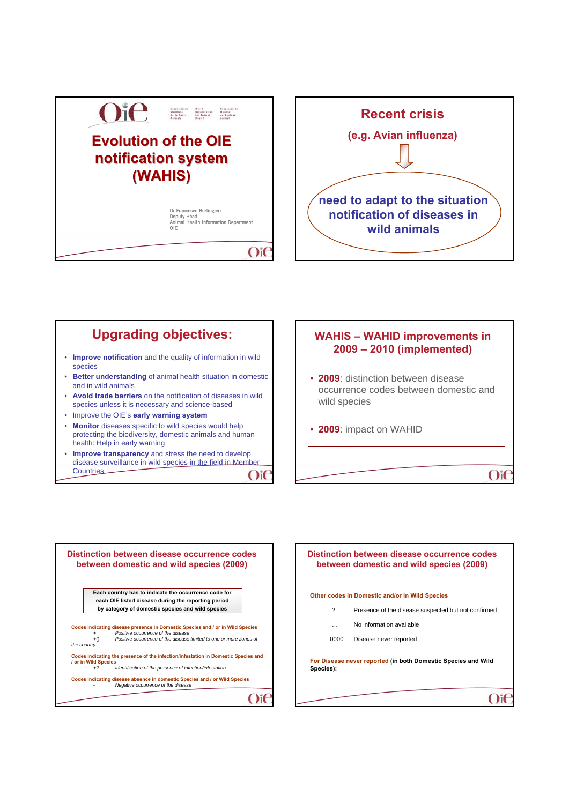



## • **Improve notification** and the quality of information in wild species • **Better understanding** of animal health situation in domestic and in wild animals • **Avoid trade barriers** on the notification of diseases in wild species unless it is necessary and science-based • Improve the OIE's **early warning system** • **Monitor** diseases specific to wild species would help protecting the biodiversity, domestic animals and human health: Help in early warning • **Improve transparency** and stress the need to develop disease surveillance in wild species in the field in Member Upgrading objectives:  $\parallel$  **WAHIS – WAHID improvements in**

 $O$ i $\epsilon$ 





**Countries** 

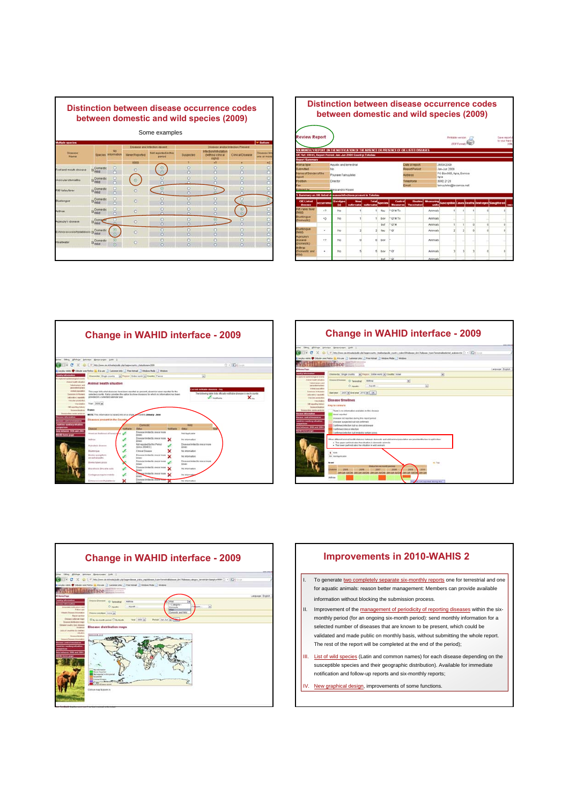



**Change in WAHID interface - 2009 Change in WAHID interface - 2009** r (phopa (papayapa (phk )<br>1 (a) (11) Imphaw at Alederical Paleon<br>Arawa Pelin & Aleder () Catalantales () Pal<br>10000 By (Experimenty ) (p) Report  $\begin{array}{r} \mbox{\scriptsize time} \\ \mbox{\scriptsize time} \\ \mbox{\scriptsize c} \end{array} \times$  $\frac{1}{2}$ me Liv Animal health situation  $\ddot{\mathbf{x}}$  $\cos{(\frac{\pi}{2000})}$ **Country Service - June** \*\*\* **South of N. Story product XXXX** 

)<br>Der Eller Alfred States Senator (186 )<br>Cor + C X (a) (in the Correlation of **COLORADO DE LA CASA A Alexan T Culometale (2 Awrenast 2 w VAHID Interface** Chesse by Single courty. (a) Pagent Entre world an County Israel  $\begin{array}{rcl} \text{Unvert} & \text{if } \text{Invert} \\ \text{if } \text{Invert} & \text{if } \text{invert} \\ \text{if } \text{Invert} & \text{if } \text{Invert} \rightarrow \end{array}$  $\overline{\mathbf{r}}$ Disease timelines



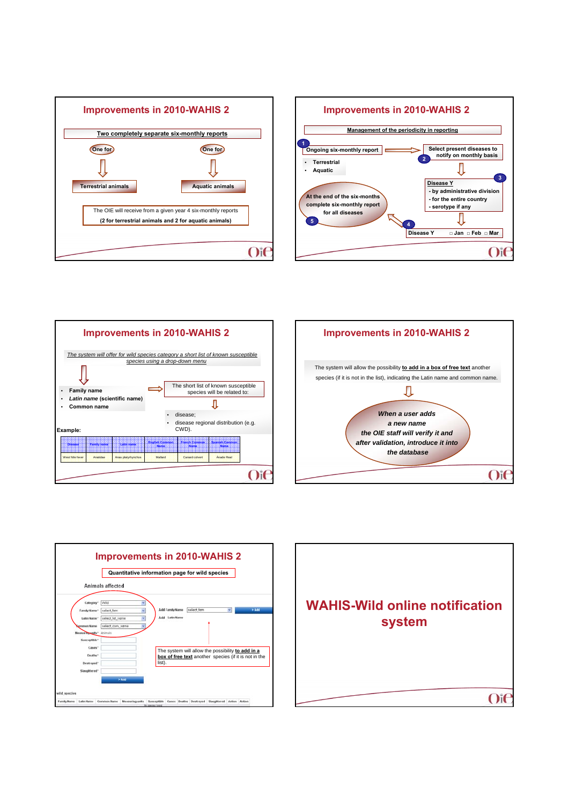